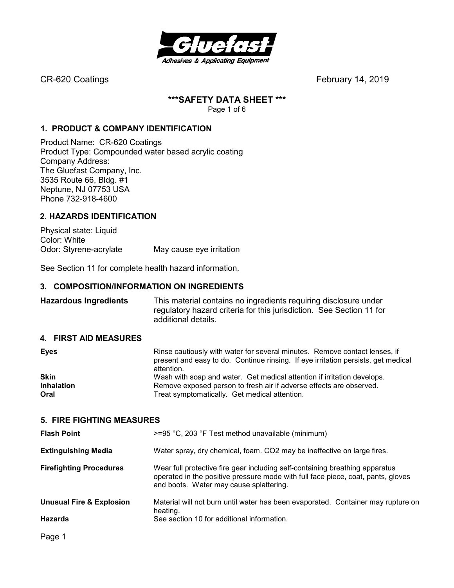

## **\*\*\*SAFETY DATA SHEET \*\*\***

Page 1 of 6

## **1. PRODUCT & COMPANY IDENTIFICATION**

Product Name: CR-620 Coatings Product Type: Compounded water based acrylic coating Company Address: The Gluefast Company, Inc. 3535 Route 66, Bldg. #1 Neptune, NJ 07753 USA Phone 732-918-4600

## **2. HAZARDS IDENTIFICATION**

Physical state: Liquid Color: White Odor: Styrene-acrylate May cause eye irritation

See Section 11 for complete health hazard information.

## **3. COMPOSITION/INFORMATION ON INGREDIENTS**

**Hazardous Ingredients** This material contains no ingredients requiring disclosure under regulatory hazard criteria for this jurisdiction. See Section 11 for additional details.

## **4. FIRST AID MEASURES**

| present and easy to do. Continue rinsing. If eye irritation persists, get medical |
|-----------------------------------------------------------------------------------|
|                                                                                   |
|                                                                                   |
|                                                                                   |
|                                                                                   |

## **5. FIRE FIGHTING MEASURES**

| <b>Flash Point</b>                  | $>=$ 95 °C, 203 °F Test method unavailable (minimum)                                                                                                                                                        |
|-------------------------------------|-------------------------------------------------------------------------------------------------------------------------------------------------------------------------------------------------------------|
| <b>Extinguishing Media</b>          | Water spray, dry chemical, foam. CO2 may be ineffective on large fires.                                                                                                                                     |
| <b>Firefighting Procedures</b>      | Wear full protective fire gear including self-containing breathing apparatus<br>operated in the positive pressure mode with full face piece, coat, pants, gloves<br>and boots. Water may cause splattering. |
| <b>Unusual Fire &amp; Explosion</b> | Material will not burn until water has been evaporated. Container may rupture on<br>heating.                                                                                                                |
| <b>Hazards</b>                      | See section 10 for additional information.                                                                                                                                                                  |
|                                     |                                                                                                                                                                                                             |

Page 1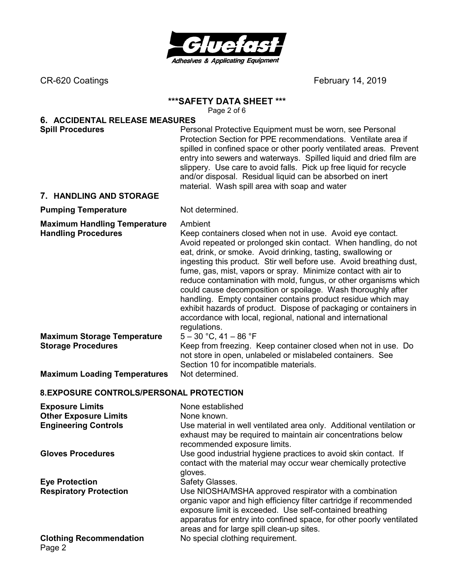

## **\*\*\*SAFETY DATA SHEET \*\*\***

Page 2 of 6

# **6. ACCIDENTAL RELEASE MEASURES**

**Spill Procedures Personal Protective Equipment must be worn, see Personal Protective Equipment must be worn, see Personal** Protection Section for PPE recommendations. Ventilate area if spilled in confined space or other poorly ventilated areas. Prevent entry into sewers and waterways. Spilled liquid and dried film are slippery. Use care to avoid falls. Pick up free liquid for recycle and/or disposal. Residual liquid can be absorbed on inert material. Wash spill area with soap and water

## **7. HANDLING AND STORAGE**

## **Pumping Temperature** Not determined.

**Maximum Handling Temperature** Ambient

**Handling Procedures** Keep containers closed when not in use. Avoid eye contact. Avoid repeated or prolonged skin contact. When handling, do not eat, drink, or smoke. Avoid drinking, tasting, swallowing or ingesting this product. Stir well before use. Avoid breathing dust, fume, gas, mist, vapors or spray. Minimize contact with air to reduce contamination with mold, fungus, or other organisms which could cause decomposition or spoilage. Wash thoroughly after handling. Empty container contains product residue which may exhibit hazards of product. Dispose of packaging or containers in accordance with local, regional, national and international regulations.

**Maximum Storage Temperature** 5 – 30 °C, 41 – 86 °F

**Storage Procedures Keep from freezing. Keep container closed when not in use. Do** not store in open, unlabeled or mislabeled containers. See

Section 10 for incompatible materials.

**Maximum Loading Temperatures** Not determined.

## **8. EXPOSURE CONTROLS/PERSONAL PROTECTION**

| <b>Exposure Limits</b><br><b>Other Exposure Limits</b><br><b>Engineering Controls</b> | None established<br>None known.<br>Use material in well ventilated area only. Additional ventilation or<br>exhaust may be required to maintain air concentrations below<br>recommended exposure limits.                                                                                                      |
|---------------------------------------------------------------------------------------|--------------------------------------------------------------------------------------------------------------------------------------------------------------------------------------------------------------------------------------------------------------------------------------------------------------|
| <b>Gloves Procedures</b>                                                              | Use good industrial hygiene practices to avoid skin contact. If<br>contact with the material may occur wear chemically protective<br>gloves.                                                                                                                                                                 |
| <b>Eye Protection</b>                                                                 | Safety Glasses.                                                                                                                                                                                                                                                                                              |
| <b>Respiratory Protection</b>                                                         | Use NIOSHA/MSHA approved respirator with a combination<br>organic vapor and high efficiency filter cartridge if recommended<br>exposure limit is exceeded. Use self-contained breathing<br>apparatus for entry into confined space, for other poorly ventilated<br>areas and for large spill clean-up sites. |
| <b>Clothing Recommendation</b><br>Page 2                                              | No special clothing requirement.                                                                                                                                                                                                                                                                             |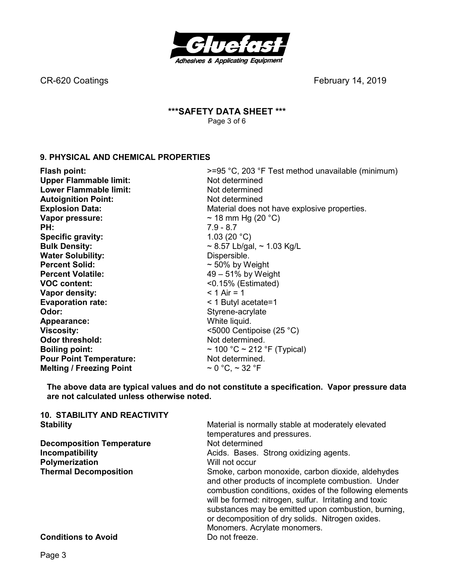

## **\*\*\*SAFETY DATA SHEET \*\*\***  Page 3 of 6

## **9. PHYSICAL AND CHEMICAL PROPERTIES**

| Flash point:                    | >=95 °C, 203 °F Test method unavailable (minimum) |
|---------------------------------|---------------------------------------------------|
| <b>Upper Flammable limit:</b>   | Not determined                                    |
| <b>Lower Flammable limit:</b>   | Not determined                                    |
| <b>Autoignition Point:</b>      | Not determined                                    |
| <b>Explosion Data:</b>          | Material does not have explosive properties.      |
| Vapor pressure:                 | ~ 18 mm Hg (20 $^{\circ}$ C)                      |
| PH:                             | $7.9 - 8.7$                                       |
| <b>Specific gravity:</b>        | 1.03 (20 $^{\circ}$ C)                            |
| <b>Bulk Density:</b>            | $\sim$ 8.57 Lb/gal, $\sim$ 1.03 Kg/L              |
| <b>Water Solubility:</b>        | Dispersible.                                      |
| <b>Percent Solid:</b>           | $\sim$ 50% by Weight                              |
| <b>Percent Volatile:</b>        | $49-51\%$ by Weight                               |
| <b>VOC content:</b>             | $< 0.15\%$ (Estimated)                            |
| Vapor density:                  | $< 1$ Air = 1                                     |
| <b>Evaporation rate:</b>        | < 1 Butyl acetate=1                               |
| Odor:                           | Styrene-acrylate                                  |
| Appearance:                     | White liquid.                                     |
| <b>Viscosity:</b>               | $\leq$ 5000 Centipoise (25 °C)                    |
| <b>Odor threshold:</b>          | Not determined.                                   |
| <b>Boiling point:</b>           | $\sim$ 100 °C $\sim$ 212 °F (Typical)             |
| <b>Pour Point Temperature:</b>  | Not determined.                                   |
| <b>Melting / Freezing Point</b> | $\sim$ 0 °C, $\sim$ 32 °F                         |

**The above data are typical values and do not constitute a specification. Vapor pressure data are not calculated unless otherwise noted.** 

| <b>10. STABILITY AND REACTIVITY</b> |                                                                                                                                                                                                                                                                                                                                                                         |  |  |
|-------------------------------------|-------------------------------------------------------------------------------------------------------------------------------------------------------------------------------------------------------------------------------------------------------------------------------------------------------------------------------------------------------------------------|--|--|
| <b>Stability</b>                    | Material is normally stable at moderately elevated                                                                                                                                                                                                                                                                                                                      |  |  |
|                                     | temperatures and pressures.                                                                                                                                                                                                                                                                                                                                             |  |  |
| <b>Decomposition Temperature</b>    | Not determined                                                                                                                                                                                                                                                                                                                                                          |  |  |
| Incompatibility                     | Acids. Bases. Strong oxidizing agents.                                                                                                                                                                                                                                                                                                                                  |  |  |
| Polymerization                      | Will not occur                                                                                                                                                                                                                                                                                                                                                          |  |  |
| <b>Thermal Decomposition</b>        | Smoke, carbon monoxide, carbon dioxide, aldehydes<br>and other products of incomplete combustion. Under<br>combustion conditions, oxides of the following elements<br>will be formed: nitrogen, sulfur. Irritating and toxic<br>substances may be emitted upon combustion, burning,<br>or decomposition of dry solids. Nitrogen oxides.<br>Monomers. Acrylate monomers. |  |  |
| <b>Conditions to Avoid</b>          | Do not freeze.                                                                                                                                                                                                                                                                                                                                                          |  |  |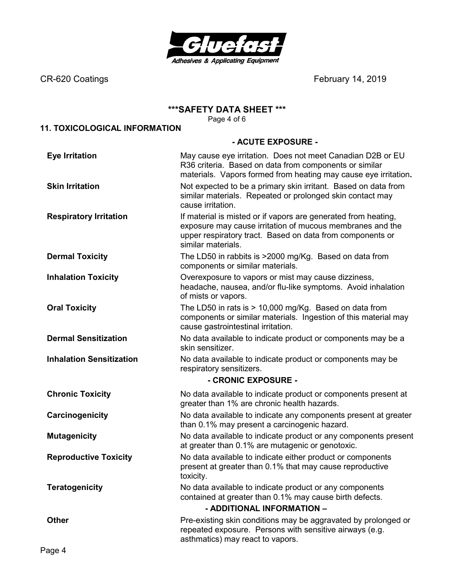

## **\*\*\*SAFETY DATA SHEET \*\*\***

Page 4 of 6

## **11. TOXICOLOGICAL INFORMATION**

## **- ACUTE EXPOSURE -**

| <b>Eye Irritation</b>           | May cause eye irritation. Does not meet Canadian D2B or EU<br>R36 criteria. Based on data from components or similar<br>materials. Vapors formed from heating may cause eye irritation.                        |
|---------------------------------|----------------------------------------------------------------------------------------------------------------------------------------------------------------------------------------------------------------|
| <b>Skin Irritation</b>          | Not expected to be a primary skin irritant. Based on data from<br>similar materials. Repeated or prolonged skin contact may<br>cause irritation.                                                               |
| <b>Respiratory Irritation</b>   | If material is misted or if vapors are generated from heating,<br>exposure may cause irritation of mucous membranes and the<br>upper respiratory tract. Based on data from components or<br>similar materials. |
| <b>Dermal Toxicity</b>          | The LD50 in rabbits is >2000 mg/Kg. Based on data from<br>components or similar materials.                                                                                                                     |
| <b>Inhalation Toxicity</b>      | Overexposure to vapors or mist may cause dizziness,<br>headache, nausea, and/or flu-like symptoms. Avoid inhalation<br>of mists or vapors.                                                                     |
| <b>Oral Toxicity</b>            | The LD50 in rats is > 10,000 mg/Kg. Based on data from<br>components or similar materials. Ingestion of this material may<br>cause gastrointestinal irritation.                                                |
| <b>Dermal Sensitization</b>     | No data available to indicate product or components may be a<br>skin sensitizer.                                                                                                                               |
| <b>Inhalation Sensitization</b> | No data available to indicate product or components may be<br>respiratory sensitizers.                                                                                                                         |
|                                 | - CRONIC EXPOSURE -                                                                                                                                                                                            |
| <b>Chronic Toxicity</b>         | No data available to indicate product or components present at<br>greater than 1% are chronic health hazards.                                                                                                  |
| Carcinogenicity                 | No data available to indicate any components present at greater<br>than 0.1% may present a carcinogenic hazard.                                                                                                |
| <b>Mutagenicity</b>             | No data available to indicate product or any components present<br>at greater than 0.1% are mutagenic or genotoxic.                                                                                            |
| <b>Reproductive Toxicity</b>    | No data available to indicate either product or components<br>present at greater than 0.1% that may cause reproductive<br>toxicity.                                                                            |
| <b>Teratogenicity</b>           | No data available to indicate product or any components<br>contained at greater than 0.1% may cause birth defects.<br>- ADDITIONAL INFORMATION -                                                               |
| <b>Other</b>                    | Pre-existing skin conditions may be aggravated by prolonged or<br>repeated exposure. Persons with sensitive airways (e.g.<br>asthmatics) may react to vapors.                                                  |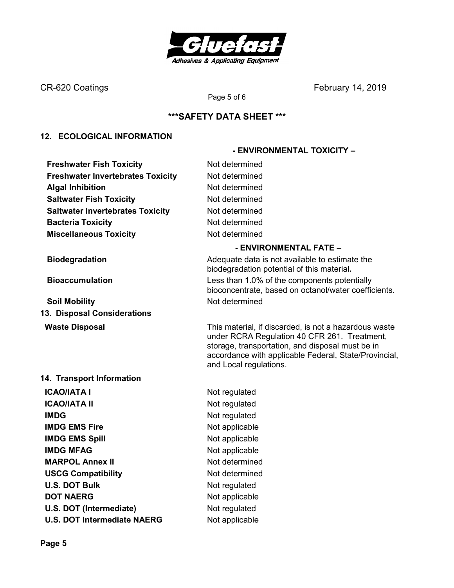

## **\*\*\*SAFETY DATA SHEET \*\*\***

Page 5 of 6

## **12. ECOLOGICAL INFORMATION**

**Freshwater Fish Toxicity Not determined Freshwater Invertebrates Toxicity Mot determined Algal Inhibition Not determined Saltwater Fish Toxicity Not determined Saltwater Invertebrates Toxicity Mot determined Bacteria Toxicity Not determined Miscellaneous Toxicity** Not determined

**Soil Mobility Not determined 13. Disposal Considerations** 

## **14. Transport Information**

**ICAO/IATA I** Not regulated **ICAO/IATA II** Not regulated **IMDG** Not regulated **IMDG EMS Fire** Not applicable **IMDG EMS Spill Service Spill Service Spill Service Spill Service Spill Service Spill Service Spill Service Spill Service Spill Service Spill Service Spill Service Spill Service Spill Service Spill Service Spill Service Sp IMDG MFAG** Not applicable **MARPOL Annex II** Not determined **USCG Compatibility Not determined U.S. DOT Bulk** Not regulated **DOT NAERG** Not applicable **U.S. DOT (Intermediate)** Not regulated **U.S. DOT Intermediate NAERG** Not applicable

## **- ENVIRONMENTAL FATE –**

 **- ENVIRONMENTAL TOXICITY –** 

**Biodegradation Biodegradation Adequate data is not available to estimate the** biodegradation potential of this material**. Bioaccumulation** Less than 1.0% of the components potentially bioconcentrate, based on octanol/water coefficients.

**Waste Disposal** This material, if discarded, is not a hazardous waste under RCRA Regulation 40 CFR 261. Treatment, storage, transportation, and disposal must be in accordance with applicable Federal, State/Provincial, and Local regulations.